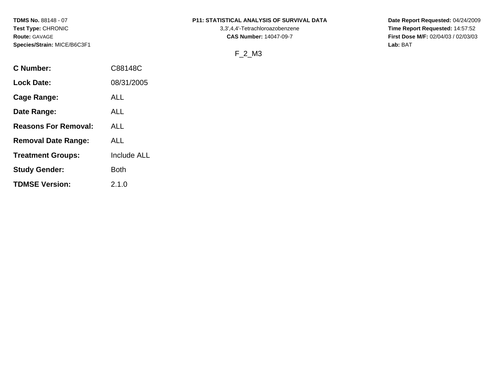**Species/Strain:** MICE/B6C3F1 **Lab:** BAT

## **TDMS No.** 88148 - 07 **P11: STATISTICAL ANALYSIS OF SURVIVAL DATA Date Report Requested:** 04/24/2009

**Test Type:** CHRONIC 3,3',4,4'-Tetrachloroazobenzene **Time Report Requested:** 14:57:52 **Route:** GAVAGE **CAS Number:** 14047-09-7 **First Dose M/F:** 02/04/03 / 02/03/03

## F\_2\_M3

| <b>C</b> Number:            | C88148C            |
|-----------------------------|--------------------|
| <b>Lock Date:</b>           | 08/31/2005         |
| Cage Range:                 | ALL                |
| Date Range:                 | ALL                |
| <b>Reasons For Removal:</b> | ALL                |
| <b>Removal Date Range:</b>  | ALL                |
| <b>Treatment Groups:</b>    | <b>Include ALL</b> |
| <b>Study Gender:</b>        | Both               |
| <b>TDMSE Version:</b>       | 2.1.0              |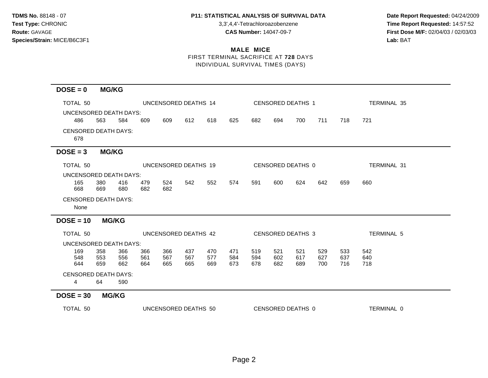**Test Type:** CHRONIC 3,3',4,4'-Tetrachloroazobenzene **Time Report Requested:** 14:57:52 **Route:** GAVAGE **CAS Number:** 14047-09-7 **First Dose M/F:** 02/04/03 / 02/03/03

## **MALE MICE**

# FIRST TERMINAL SACRIFICE AT **728** DAYS INDIVIDUAL SURVIVAL TIMES (DAYS)

| $DOSE = 0$                          | <b>MG/KG</b> |              |            |                      |            |            |            |            |            |                   |            |            |                    |
|-------------------------------------|--------------|--------------|------------|----------------------|------------|------------|------------|------------|------------|-------------------|------------|------------|--------------------|
| TOTAL 50                            |              |              |            | UNCENSORED DEATHS 14 |            |            |            |            |            | CENSORED DEATHS 1 |            |            | <b>TERMINAL 35</b> |
| UNCENSORED DEATH DAYS:              |              |              |            |                      |            |            |            |            |            |                   |            |            |                    |
| 486                                 | 563          | 584          | 609        | 609                  | 612        | 618        | 625        | 682        | 694        | 700               | 711        | 718        | 721                |
| <b>CENSORED DEATH DAYS:</b><br>678  |              |              |            |                      |            |            |            |            |            |                   |            |            |                    |
| $DOSE = 3$                          | <b>MG/KG</b> |              |            |                      |            |            |            |            |            |                   |            |            |                    |
| TOTAL 50                            |              |              |            | UNCENSORED DEATHS 19 |            |            |            |            |            | CENSORED DEATHS 0 |            |            | TERMINAL 31        |
| UNCENSORED DEATH DAYS:              |              |              |            |                      |            |            |            |            |            |                   |            |            |                    |
| 165<br>668                          | 380<br>669   | 416<br>680   | 479<br>682 | 524<br>682           | 542        | 552        | 574        | 591        | 600        | 624               | 642        | 659        | 660                |
| <b>CENSORED DEATH DAYS:</b><br>None |              |              |            |                      |            |            |            |            |            |                   |            |            |                    |
| $DOSE = 10$                         |              | <b>MG/KG</b> |            |                      |            |            |            |            |            |                   |            |            |                    |
| TOTAL 50                            |              |              |            | UNCENSORED DEATHS 42 |            |            |            |            |            | CENSORED DEATHS 3 |            |            | <b>TERMINAL 5</b>  |
| UNCENSORED DEATH DAYS:              |              |              |            |                      |            |            |            |            |            |                   |            |            |                    |
| 169                                 | 358          | 366          | 366        | 366                  | 437        | 470        | 471        | 519        | 521        | 521               | 529        | 533        | 542                |
| 548<br>644                          | 553<br>659   | 556<br>662   | 561<br>664 | 567<br>665           | 567<br>665 | 577<br>669 | 584<br>673 | 594<br>678 | 602<br>682 | 617<br>689        | 627<br>700 | 637<br>716 | 640<br>718         |
| <b>CENSORED DEATH DAYS:</b>         |              |              |            |                      |            |            |            |            |            |                   |            |            |                    |
| $\overline{4}$                      | 64           | 590          |            |                      |            |            |            |            |            |                   |            |            |                    |
| $DOSE = 30$                         |              | <b>MG/KG</b> |            |                      |            |            |            |            |            |                   |            |            |                    |
| TOTAL 50                            |              |              |            | UNCENSORED DEATHS 50 |            |            |            |            |            | CENSORED DEATHS 0 |            |            | TERMINAL 0         |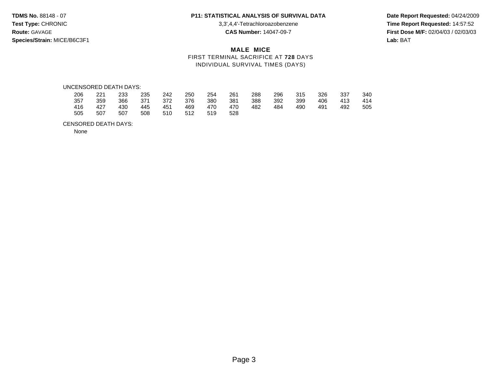**Species/Strain:** MICE/B6C3F1 **Lab:** BAT

**Test Type:** CHRONIC 3,3',4,4'-Tetrachloroazobenzene **Time Report Requested:** 14:57:52 **Route:** GAVAGE **CAS Number:** 14047-09-7 **First Dose M/F:** 02/04/03 / 02/03/03

## **MALE MICE** FIRST TERMINAL SACRIFICE AT **728** DAYS INDIVIDUAL SURVIVAL TIMES (DAYS)

#### UNCENSORED DEATH DAYS:

| 206 | 221 | 233 | 235 | 242 | 250 | 254 | 261 | 288 | 296 | 315 | 326 | 337 | 340 |
|-----|-----|-----|-----|-----|-----|-----|-----|-----|-----|-----|-----|-----|-----|
| 357 | 359 | 366 | 371 | 372 | 376 | 380 | 381 | 388 | 392 | 399 | 406 | 413 | 414 |
| 416 | 427 | 430 | 445 | 451 | 469 | 470 | 470 | 482 | 484 | 490 | 491 | 492 | 505 |
| 505 | 507 | 507 | 508 | 510 | 512 | 519 | 528 |     |     |     |     |     |     |

#### CENSORED DEATH DAYS:

None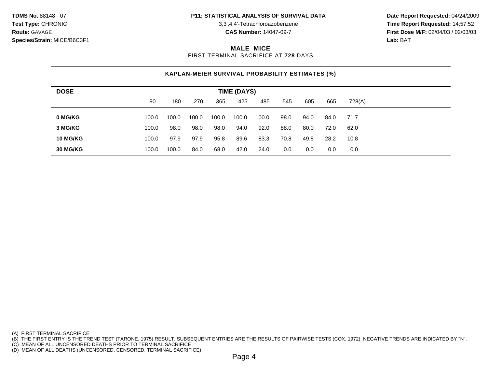**Test Type:** CHRONIC 3,3',4,4'-Tetrachloroazobenzene **Time Report Requested:** 14:57:52 **Route:** GAVAGE **CAS Number:** 14047-09-7 **First Dose M/F:** 02/04/03 / 02/03/03

### **MALE MICE**

FIRST TERMINAL SACRIFICE AT **728** DAYS

## **KAPLAN-MEIER SURVIVAL PROBABILITY ESTIMATES (%)**

| <b>DOSE</b>     | <b>TIME (DAYS)</b> |       |       |       |       |       |      |      |      |        |  |  |  |
|-----------------|--------------------|-------|-------|-------|-------|-------|------|------|------|--------|--|--|--|
|                 | 90                 | 180   | 270   | 365   | 425   | 485   | 545  | 605  | 665  | 728(A) |  |  |  |
| 0 MG/KG         | 100.0              | 100.0 | 100.0 | 100.0 | 100.0 | 100.0 | 98.0 | 94.0 | 84.0 | 71.7   |  |  |  |
| 3 MG/KG         | 100.0              | 98.0  | 98.0  | 98.0  | 94.0  | 92.0  | 88.0 | 80.0 | 72.0 | 62.0   |  |  |  |
| <b>10 MG/KG</b> | 100.0              | 97.9  | 97.9  | 95.8  | 89.6  | 83.3  | 70.8 | 49.8 | 28.2 | 10.8   |  |  |  |
| 30 MG/KG        | 100.0              | 100.0 | 84.0  | 68.0  | 42.0  | 24.0  | 0.0  | 0.0  | 0.0  | 0.0    |  |  |  |

(A) FIRST TERMINAL SACRIFICE

(B) THE FIRST ENTRY IS THE TREND TEST (TARONE, 1975) RESULT. SUBSEQUENT ENTRIES ARE THE RESULTS OF PAIRWISE TESTS (COX, 1972). NEGATIVE TRENDS ARE INDICATED BY "N".

(C) MEAN OF ALL UNCENSORED DEATHS PRIOR TO TERMINAL SACRIFICE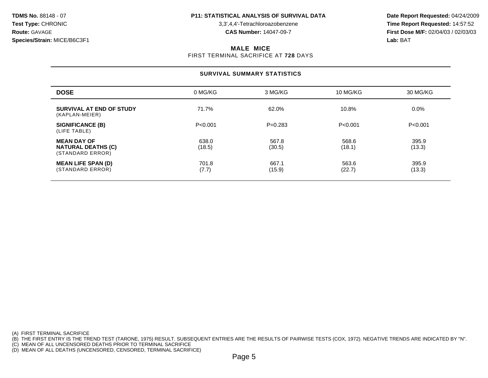**Test Type:** CHRONIC 3,3',4,4'-Tetrachloroazobenzene **Time Report Requested:** 14:57:52 **Route:** GAVAGE **CAS Number:** 14047-09-7 **First Dose M/F:** 02/04/03 / 02/03/03

### **MALE MICE**

FIRST TERMINAL SACRIFICE AT **728** DAYS

## **SURVIVAL SUMMARY STATISTICS**

| <b>DOSE</b>                                                         | 0 MG/KG         | 3 MG/KG         | 10 MG/KG        | 30 MG/KG        |
|---------------------------------------------------------------------|-----------------|-----------------|-----------------|-----------------|
| SURVIVAL AT END OF STUDY<br>(KAPLAN-MEIER)                          | 71.7%           | 62.0%           | 10.8%           | $0.0\%$         |
| <b>SIGNIFICANCE (B)</b><br>(LIFE TABLE)                             | P < 0.001       | $P=0.283$       | P < 0.001       | P<0.001         |
| <b>MEAN DAY OF</b><br><b>NATURAL DEATHS (C)</b><br>(STANDARD ERROR) | 638.0<br>(18.5) | 567.8<br>(30.5) | 568.6<br>(18.1) | 395.9<br>(13.3) |
| <b>MEAN LIFE SPAN (D)</b><br>(STANDARD ERROR)                       | 701.8<br>(7.7)  | 667.1<br>(15.9) | 563.6<br>(22.7) | 395.9<br>(13.3) |

(A) FIRST TERMINAL SACRIFICE

(B) THE FIRST ENTRY IS THE TREND TEST (TARONE, 1975) RESULT. SUBSEQUENT ENTRIES ARE THE RESULTS OF PAIRWISE TESTS (COX, 1972). NEGATIVE TRENDS ARE INDICATED BY "N".

(C) MEAN OF ALL UNCENSORED DEATHS PRIOR TO TERMINAL SACRIFICE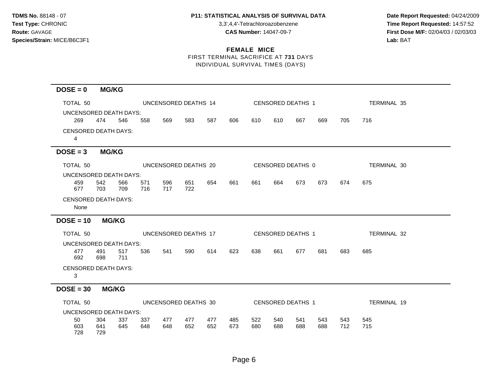**Test Type:** CHRONIC 3,3',4,4'-Tetrachloroazobenzene **Time Report Requested:** 14:57:52 **Route:** GAVAGE **CAS Number:** 14047-09-7 **First Dose M/F:** 02/04/03 / 02/03/03

# **FEMALE MICE**

FIRST TERMINAL SACRIFICE AT **731** DAYS INDIVIDUAL SURVIVAL TIMES (DAYS)

## **DOSE = 0 MG/KG**

| TOTAL 50                    |              | UNCENSORED DEATHS 14 |     |     |     |     |                          | CENSORED DEATHS 1 |     |     |     |                   | <b>TERMINAL 35</b> |
|-----------------------------|--------------|----------------------|-----|-----|-----|-----|--------------------------|-------------------|-----|-----|-----|-------------------|--------------------|
| UNCENSORED DEATH DAYS:      |              |                      |     |     |     |     |                          |                   |     |     |     |                   |                    |
| 269                         | 474          | 546                  | 558 | 569 | 583 | 587 | 606                      | 610               | 610 | 667 | 669 | 705               | 716                |
| <b>CENSORED DEATH DAYS:</b> |              |                      |     |     |     |     |                          |                   |     |     |     |                   |                    |
| $\overline{4}$              |              |                      |     |     |     |     |                          |                   |     |     |     |                   |                    |
| $DOSE = 3$                  | <b>MG/KG</b> |                      |     |     |     |     |                          |                   |     |     |     |                   |                    |
| TOTAL 50                    |              | UNCENSORED DEATHS 20 |     |     |     |     | <b>CENSORED DEATHS 0</b> |                   |     |     |     |                   | <b>TERMINAL 30</b> |
| UNCENSORED DEATH DAYS:      |              |                      |     |     |     |     |                          |                   |     |     |     |                   |                    |
| 459                         | 542          | 566                  | 571 | 596 | 651 | 654 | 661                      | 661               | 664 | 673 | 673 | 674               | 675                |
| 677                         | 703          | 709                  | 716 | 717 | 722 |     |                          |                   |     |     |     |                   |                    |
| <b>CENSORED DEATH DAYS:</b> |              |                      |     |     |     |     |                          |                   |     |     |     |                   |                    |
| None                        |              |                      |     |     |     |     |                          |                   |     |     |     |                   |                    |
| $DOSE = 10$ MG/KG           |              |                      |     |     |     |     |                          |                   |     |     |     |                   |                    |
| TOTAL 50                    |              | UNCENSORED DEATHS 17 |     |     |     |     | <b>CENSORED DEATHS 1</b> |                   |     |     |     |                   | TERMINAL 32        |
| UNCENSORED DEATH DAYS:      |              |                      |     |     |     |     |                          |                   |     |     |     |                   |                    |
| 477                         | 491          | 517                  | 536 | 541 | 590 | 614 | 623                      | 638               | 661 | 677 | 681 | 683               | 685                |
| 692                         | 698          | 711                  |     |     |     |     |                          |                   |     |     |     |                   |                    |
| <b>CENSORED DEATH DAYS:</b> |              |                      |     |     |     |     |                          |                   |     |     |     |                   |                    |
| 3                           |              |                      |     |     |     |     |                          |                   |     |     |     |                   |                    |
| $DOSE = 30$                 |              | <b>MG/KG</b>         |     |     |     |     |                          |                   |     |     |     |                   |                    |
| TOTAL 50                    |              | UNCENSORED DEATHS 30 |     |     |     |     |                          |                   |     |     |     | CENSORED DEATHS 1 | TERMINAL 19        |
| UNCENSORED DEATH DAYS:      |              |                      |     |     |     |     |                          |                   |     |     |     |                   |                    |
| 50                          | 304          | 337                  | 337 | 477 | 477 | 477 | 485                      | 522               | 540 | 541 | 543 | 543               | 545                |
| 603<br>728                  | 641          | 645                  | 648 | 648 | 652 | 652 | 673                      | 680               | 688 | 688 | 688 | 712               | 715                |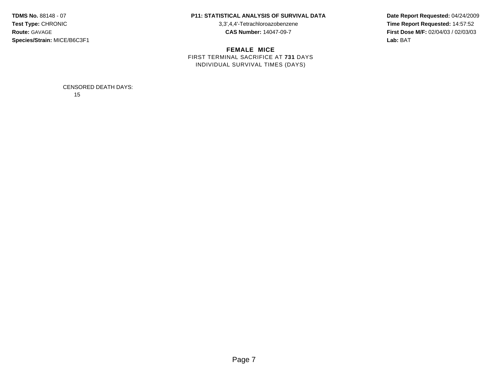**Species/Strain:** MICE/B6C3F1 **Lab:** BAT

### **TDMS No.** 88148 - 07 **P11: STATISTICAL ANALYSIS OF SURVIVAL DATA Date Report Requested:** 04/24/2009

**FEMALE MICE** FIRST TERMINAL SACRIFICE AT **731** DAYS INDIVIDUAL SURVIVAL TIMES (DAYS)

**Test Type:** CHRONIC 3,3',4,4'-Tetrachloroazobenzene **Time Report Requested:** 14:57:52 **Route:** GAVAGE **CAS Number:** 14047-09-7 **First Dose M/F:** 02/04/03 / 02/03/03

> CENSORED DEATH DAYS: 15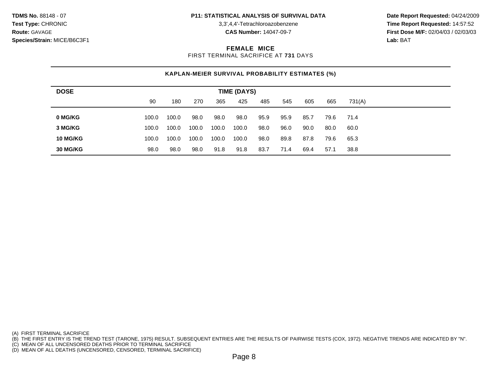**Species/Strain:** MICE/B6C3F1 **Lab:** BAT

**Test Type:** CHRONIC 3,3',4,4'-Tetrachloroazobenzene **Time Report Requested:** 14:57:52 **Route:** GAVAGE **CAS Number:** 14047-09-7 **First Dose M/F:** 02/04/03 / 02/03/03

### **FEMALE MICE**

FIRST TERMINAL SACRIFICE AT **731** DAYS

## **KAPLAN-MEIER SURVIVAL PROBABILITY ESTIMATES (%)**

| <b>DOSE</b> | <b>TIME (DAYS)</b> |       |       |       |       |      |      |      |      |        |  |  |
|-------------|--------------------|-------|-------|-------|-------|------|------|------|------|--------|--|--|
|             | 90                 | 180   | 270   | 365   | 425   | 485  | 545  | 605  | 665  | 731(A) |  |  |
| 0 MG/KG     | 100.0              | 100.0 | 98.0  | 98.0  | 98.0  | 95.9 | 95.9 | 85.7 | 79.6 | 71.4   |  |  |
|             |                    |       |       |       |       |      |      |      |      |        |  |  |
| 3 MG/KG     | 100.0              | 100.0 | 100.0 | 100.0 | 100.0 | 98.0 | 96.0 | 90.0 | 80.0 | 60.0   |  |  |
| 10 MG/KG    | 100.0              | 100.0 | 100.0 | 100.0 | 100.0 | 98.0 | 89.8 | 87.8 | 79.6 | 65.3   |  |  |
| 30 MG/KG    | 98.0               | 98.0  | 98.0  | 91.8  | 91.8  | 83.7 | 71.4 | 69.4 | 57.1 | 38.8   |  |  |

(A) FIRST TERMINAL SACRIFICE

(B) THE FIRST ENTRY IS THE TREND TEST (TARONE, 1975) RESULT. SUBSEQUENT ENTRIES ARE THE RESULTS OF PAIRWISE TESTS (COX, 1972). NEGATIVE TRENDS ARE INDICATED BY "N".

(C) MEAN OF ALL UNCENSORED DEATHS PRIOR TO TERMINAL SACRIFICE